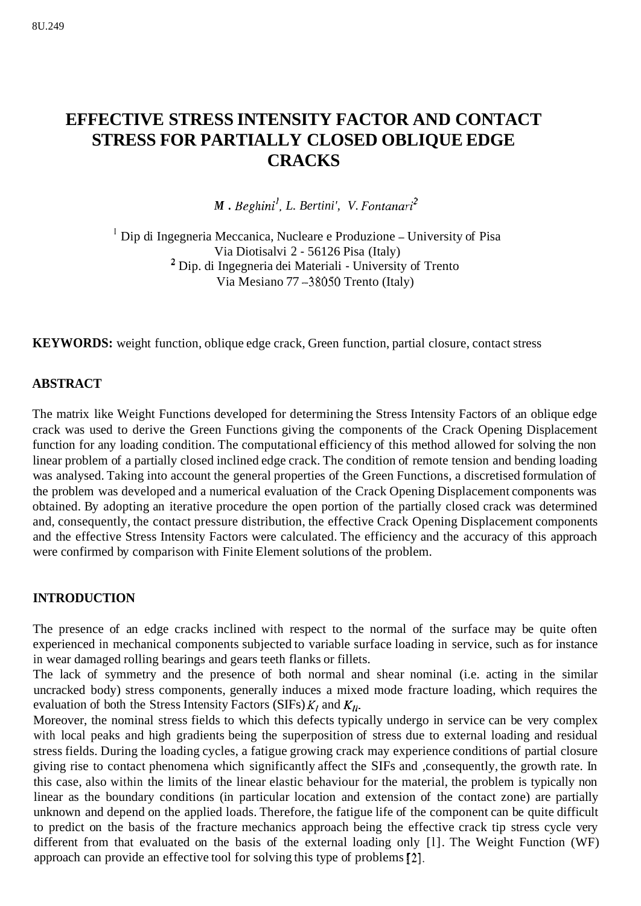# **EFFECTIVE STRESS INTENSITY FACTOR AND CONTACT STRESS FOR PARTIALLY CLOSED OBLIQUE EDGE CRACKS**

*M. Beghinil, L. Bertini', V. Fontanari2* 

<sup>I</sup>Dip di Ingegneria Meccanica, Nucleare e Produzione – University of Pisa Via Diotisalvi 2 - 56126 Pisa (Italy)  $2$  Dip. di Ingegneria dei Materiali - University of Trento Via Mesiano 77 **-38050** Trento (Italy)

**KEYWORDS:** weight function, oblique edge crack, Green function, partial closure, contact stress

## **ABSTRACT**

The matrix like Weight Functions developed for determining the Stress Intensity Factors of an oblique edge crack was used to derive the Green Functions giving the components of the Crack Opening Displacement function for any loading condition. The computational efficiency of this method allowed for solving the non linear problem of a partially closed inclined edge crack. The condition of remote tension and bending loading was analysed. Taking into account the general properties of the Green Functions, a discretised formulation of the problem was developed and a numerical evaluation of the Crack Opening Displacement components was obtained. By adopting an iterative procedure the open portion of the partially closed crack was determined and, consequently, the contact pressure distribution, the effective Crack Opening Displacement components and the effective Stress Intensity Factors were calculated. The efficiency and the accuracy of this approach were confirmed by comparison with Finite Element solutions of the problem.

#### **INTRODUCTION**

The presence of an edge cracks inclined with respect to the normal of the surface may be quite often experienced in mechanical components subjected to variable surface loading in service, such as for instance in wear damaged rolling bearings and gears teeth flanks or fillets.

The lack of symmetry and the presence of both normal and shear nominal (i.e. acting in the similar uncracked body) stress components, generally induces a mixed mode fracture loading, which requires the evaluation of both the Stress Intensity Factors (SIFs)  $K_l$  and  $K_{ll}$ .

Moreover, the nominal stress fields to which this defects typically undergo in service can be very complex with local peaks and high gradients being the superposition of stress due to external loading and residual stress fields. During the loading cycles, a fatigue growing crack may experience conditions of partial closure giving rise to contact phenomena which significantly affect the SIFs and ,consequently, the growth rate. In this case, also within the limits of the linear elastic behaviour for the material, the problem is typically non linear as the boundary conditions (in particular location and extension of the contact zone) are partially unknown and depend on the applied loads. Therefore, the fatigue life of the component can be quite difficult to predict on the basis of the fracture mechanics approach being the effective crack tip stress cycle very different from that evaluated on the basis of the external loading only [l]. The Weight Function (WF) approach can provide an effective tool for solving this type of problems [2].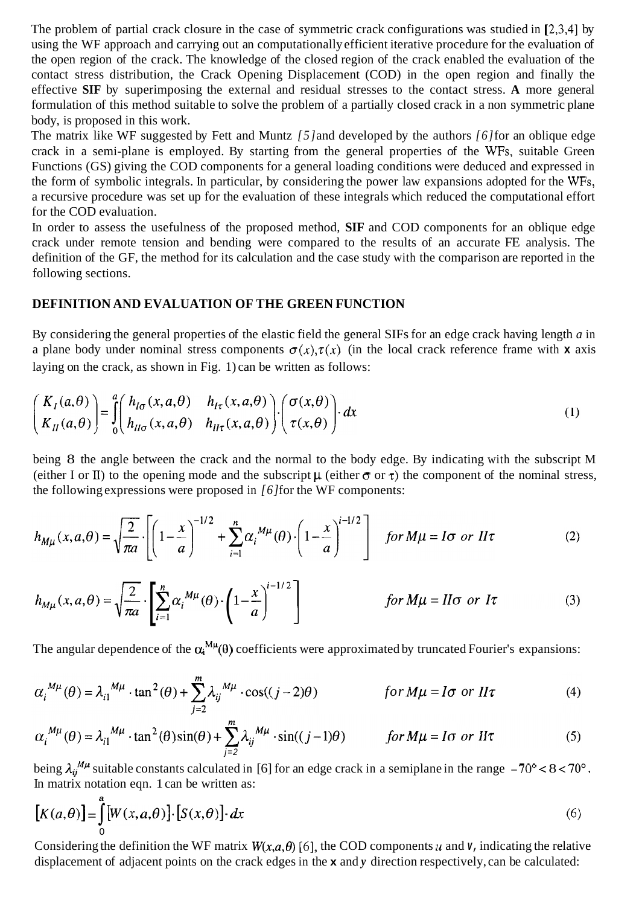The problem of partial crack closure in the case of symmetric crack configurations was studied in **[2,3,4]** by using the WF approach and carrying out an computationally efficient iterative procedure for the evaluation of the open region of the crack. The knowledge of the closed region of the crack enabled the evaluation of the contact stress distribution, the Crack Opening Displacement (COD) in the open region and finally the effective **SIF** by superimposing the external and residual stresses to the contact stress. **A** more general formulation of this method suitable to solve the problem of a partially closed crack in a non symmetric plane body, is proposed in this work.

The matrix like WF suggested by Fett and Muntz *[5]* and developed by the authors *[6]* for an oblique edge crack in a semi-plane is employed. By starting from the general properties of the WFs, suitable Green Functions (GS) giving the COD components for a general loading conditions were deduced and expressed in the form of symbolic integrals. In particular, by considering the power law expansions adopted for the WFs, a recursive procedure was set up for the evaluation of these integrals which reduced the computational effort for the COD evaluation.

In order to assess the usefulness of the proposed method, **SIF** and COD components for an oblique edge crack under remote tension and bending were compared to the results of an accurate FE analysis. The definition of the GF, the method for its calculation and the case study with the comparison are reported in the following sections.

## **DEFINITION AND EVALUATION OF THE GREEN FUNCTION**

By considering the general properties of the elastic field the general SIFs for an edge crack having length *a* in a plane body under nominal stress components  $\sigma(x)$ , $\tau(x)$  (in the local crack reference frame with **x** axis laying on the crack, as shown in Fig. 1) can be written as follows:

$$
\begin{pmatrix} K_I(a,\theta) \\ K_{II}(a,\theta) \end{pmatrix} = \int_0^a \begin{pmatrix} h_{I\sigma}(x,a,\theta) & h_{I\tau}(x,a,\theta) \\ h_{II\sigma}(x,a,\theta) & h_{II\tau}(x,a,\theta) \end{pmatrix} \cdot \begin{pmatrix} \sigma(x,\theta) \\ \tau(x,\theta) \end{pmatrix} dx \tag{1}
$$

being 8 the angle between the crack and the normal to the body edge. By indicating with the subscript M (either I or II) to the opening mode and the subscript  $\mu$  (either  $\sigma$  or  $\tau$ ) the component of the nominal stress, the following expressions were proposed in *[6]* for the WF components:

$$
h_{M\mu}(x,a,\theta) = \sqrt{\frac{2}{\pi a}} \cdot \left[ \left( 1 - \frac{x}{a} \right)^{-1/2} + \sum_{i=1}^{n} \alpha_i^{M\mu}(\theta) \cdot \left( 1 - \frac{x}{a} \right)^{i-1/2} \right] \quad \text{for } M\mu = I\sigma \text{ or } II\tau \tag{2}
$$

$$
h_{M\mu}(x,a,\theta) = \sqrt{\frac{2}{\pi a}} \cdot \left[ \sum_{i=1}^{n} \alpha_i^{M\mu}(\theta) \cdot \left( 1 - \frac{x}{a} \right)^{i-1/2} \right] \qquad \text{for } M\mu = I\sigma \text{ or } I\tau \qquad (3)
$$

The angular dependence of the  $\alpha_i^{M\mu}(\theta)$  coefficients were approximated by truncated Fourier's expansions:

$$
\alpha_i^{M\mu}(\theta) = \lambda_{i1}^{M\mu} \cdot \tan^2(\theta) + \sum_{j=2}^m \lambda_{ij}^{M\mu} \cdot \cos((j-2)\theta) \qquad \text{for } M\mu = I\sigma \text{ or } II\tau \tag{4}
$$

$$
\alpha_i^{M\mu}(\theta) = \lambda_{i1}^{M\mu} \cdot \tan^2(\theta)\sin(\theta) + \sum_{j=2}^m \lambda_{ij}^{M\mu} \cdot \sin((j-1)\theta) \qquad \text{for } M\mu = I\sigma \text{ or } II\tau
$$
 (5)

being  $\lambda_{ij}^{M\mu}$  suitable constants calculated in [6] for an edge crack in a semiplane in the range  $-70^{\circ} < 8 < 70^{\circ}$ . In matrix notation eqn. 1 can be written as:

$$
[K(a,\theta)] = \int_{0}^{a} [W(x,a,\theta)] \cdot [S(x,\theta)] \cdot dx
$$
\n(6)

*a* 

Considering the definition the WF matrix  $W(x, a, \theta)$  [6], the COD components *u* and *v*, indicating the relative displacement of adjacent points on the crack edges in the **x** and *y* direction respectively, can be calculated: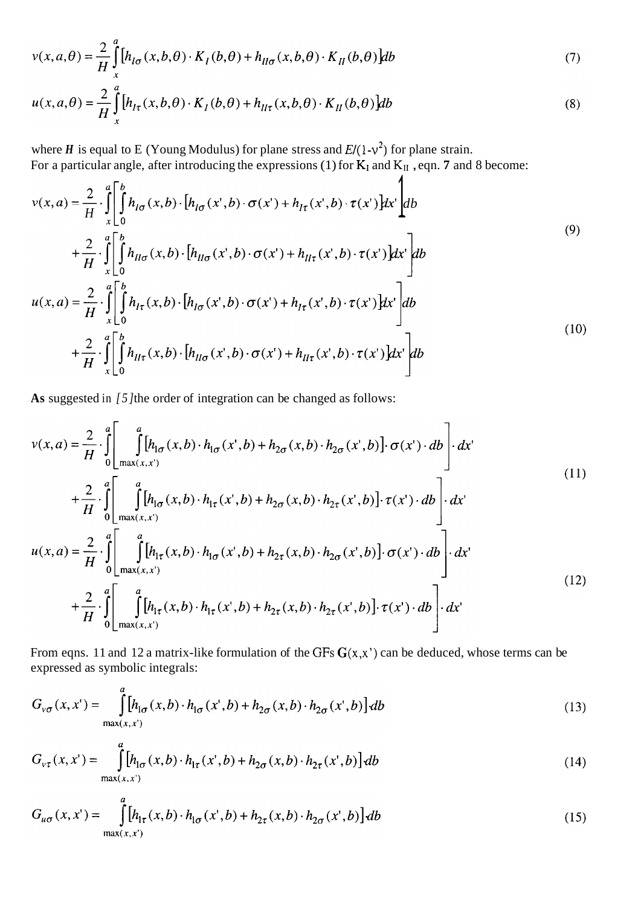$$
v(x,a,\theta) = \frac{2}{H} \int_{x}^{a} \left[ h_{l\sigma}(x,b,\theta) \cdot K_{l}(b,\theta) + h_{ll\sigma}(x,b,\theta) \cdot K_{ll}(b,\theta) \right] db
$$
  

$$
u(x,a,\theta) = \frac{2}{H} \int_{x}^{a} \left[ h_{l\tau}(x,b,\theta) \cdot K_{l}(b,\theta) + h_{ll\tau}(x,b,\theta) \cdot K_{ll}(b,\theta) \right] db
$$
 (8)

where *H* is equal to E (Young Modulus) for plane stress and  $E/(1-v^2)$  for plane strain. For a particular angle, after introducing the expressions (1) for  $K_I$  and  $K_{II}$ , eqn. 7 and 8 become:

$$
v(x,a) = \frac{2}{H} \cdot \int_{x}^{a} \left[ \int_{0}^{b} h_{l\sigma}(x,b) \cdot [h_{l\sigma}(x',b) \cdot \sigma(x') + h_{l\tau}(x',b) \cdot \tau(x')] dx' \right] db
$$
  
+ 
$$
\frac{2}{H} \cdot \int_{x}^{a} \left[ \int_{0}^{b} h_{l\sigma}(x,b) \cdot [h_{l\sigma}(x',b) \cdot \sigma(x') + h_{l\tau}(x',b) \cdot \tau(x')] dx' \right] db
$$
  

$$
u(x,a) = \frac{2}{H} \cdot \int_{x}^{a} \left[ \int_{0}^{b} h_{l\tau}(x,b) \cdot [h_{l\sigma}(x',b) \cdot \sigma(x') + h_{l\tau}(x',b) \cdot \tau(x')] dx' \right] db
$$
  
+ 
$$
\frac{2}{H} \cdot \int_{x}^{a} \left[ \int_{0}^{b} h_{l\tau}(x,b) \cdot [h_{l\sigma}(x',b) \cdot \sigma(x') + h_{l\tau}(x',b) \cdot \tau(x')] dx' \right] db
$$
  
(10)

**As** suggested in *[5]* the order of integration can be changed as follows:

$$
v(x,a) = \frac{2}{H} \cdot \int_{0}^{a} \left[ \int_{\max(x,x')}^{a} [h_{1\sigma}(x,b) \cdot h_{1\sigma}(x',b) + h_{2\sigma}(x,b) \cdot h_{2\sigma}(x',b)] \cdot \sigma(x') \cdot db \right] \cdot dx'
$$
  
+ 
$$
\frac{2}{H} \cdot \int_{0}^{a} \left[ \int_{\max(x,x')}^{a} [h_{1\sigma}(x,b) \cdot h_{1\tau}(x',b) + h_{2\sigma}(x,b) \cdot h_{2\tau}(x',b)] \cdot \tau(x') \cdot db \right] \cdot dx'
$$
  
+ 
$$
u(x,a) = \frac{2}{H} \cdot \int_{0}^{a} \left[ \int_{\max(x,x')}^{a} [h_{1\tau}(x,b) \cdot h_{1\sigma}(x',b) + h_{2\tau}(x,b) \cdot h_{2\sigma}(x',b)] \cdot \sigma(x') \cdot db \right] \cdot dx'
$$
  
+ 
$$
\frac{2}{H} \cdot \int_{0}^{a} \left[ \int_{\max(x,x')}^{a} [h_{1\tau}(x,b) \cdot h_{1\tau}(x',b) + h_{2\tau}(x,b) \cdot h_{2\tau}(x',b)] \cdot \tau(x') \cdot db \right] \cdot dx'
$$
  
(12)

From eqns. 11 and 12 a matrix-like formulation of the GFs  $G(x,x')$  can be deduced, whose terms can be expressed as symbolic integrals:

$$
G_{\nu\sigma}(x,x') = \int_{\max(x,x')}^{a} [h_{l\sigma}(x,b) \cdot h_{l\sigma}(x',b) + h_{2\sigma}(x,b) \cdot h_{2\sigma}(x',b)] db
$$
\n(13)

$$
G_{v\tau}(x, x') = \int_{\max(x, x')}^{a} [h_{l\sigma}(x, b) \cdot h_{l\tau}(x', b) + h_{2\sigma}(x, b) \cdot h_{2\tau}(x', b)] db
$$
 (14)

$$
G_{u\sigma}(x, x') = \int_{\max(x, x')}^{a} [h_{1\tau}(x, b) \cdot h_{1\sigma}(x', b) + h_{2\tau}(x, b) \cdot h_{2\sigma}(x', b)] db
$$
 (15)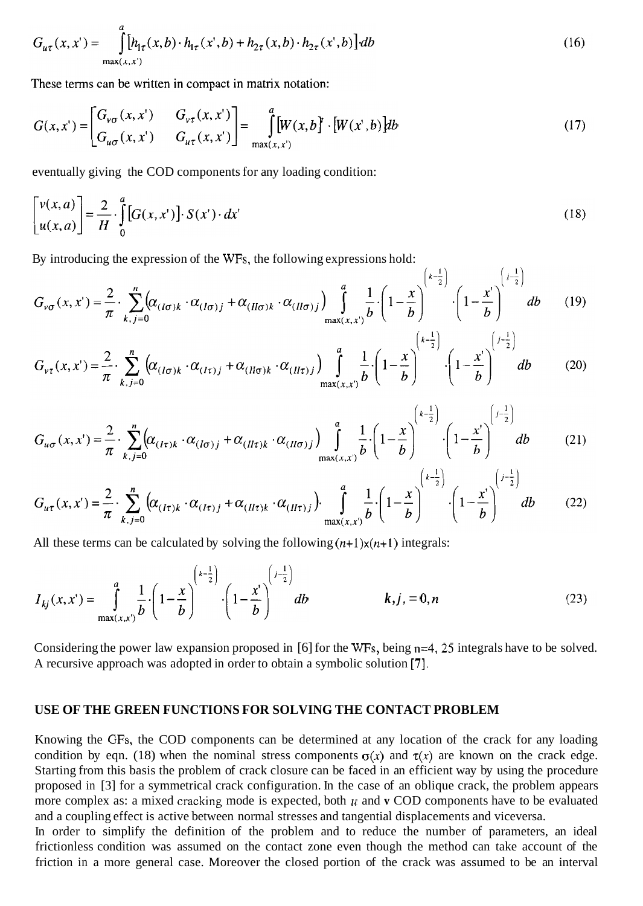$$
G_{u\tau}(x, x') = \int_{\max(x, x')}^{a} [h_{1\tau}(x, b) \cdot h_{1\tau}(x', b) + h_{2\tau}(x, b) \cdot h_{2\tau}(x', b)] db
$$
 (16)

These terms can be written in compact in matrix notation:

$$
G(x,x') = \begin{bmatrix} G_{\nu\sigma}(x,x') & G_{\nu\tau}(x,x') \\ G_{\mu\sigma}(x,x') & G_{\mu\tau}(x,x') \end{bmatrix} = \int_{\max(x,x')}^{a} [W(x,b)] \cdot [W(x',b)] db \tag{17}
$$

eventually giving the COD components for any loading condition:

$$
\begin{bmatrix} v(x,a) \\ u(x,a) \end{bmatrix} = \frac{2}{H} \cdot \int_{0}^{a} [G(x,x')] \cdot S(x') \cdot dx'
$$
 (18)

By introducing the expression of the WFs, the following expressions hold:

$$
G_{\nu\sigma}(x,x') = \frac{2}{\pi} \cdot \sum_{k,j=0}^{n} \left( \alpha_{(I\sigma)k} \cdot \alpha_{(I\sigma)j} + \alpha_{(II\sigma)k} \cdot \alpha_{(II\sigma)j} \right) \int_{\max(x,x')}^{a} \frac{1}{b} \cdot \left( 1 - \frac{x}{b} \right)^{\left\lfloor \frac{k-1}{2} \right\rfloor} \cdot \left( 1 - \frac{x'}{b} \right)^{\left\lfloor \frac{j-1}{2} \right\rfloor} db \tag{19}
$$

$$
G_{v\tau}(x,x') = \frac{2}{\pi} \cdot \sum_{k,j=0}^{n} \left( \alpha_{(I\sigma)k} \cdot \alpha_{(I\tau)j} + \alpha_{(II\sigma)k} \cdot \alpha_{(II\tau)j} \right) \int_{\max(x,x')}^{a} \frac{1}{b} \cdot \left( 1 - \frac{x}{b} \right)^{\left(\frac{x-1}{2}\right)} \cdot \left( 1 - \frac{x'}{b} \right)^{\left(\frac{1}{2}\right)} \, db \tag{20}
$$

$$
G_{u\sigma}(x,x') = \frac{2}{\pi} \cdot \sum_{k,j=0}^{n} \left( \alpha_{(1\tau)k} \cdot \alpha_{(1\sigma)j} + \alpha_{(1\tau)k} \cdot \alpha_{(1\sigma)j} \right) \int_{\max(x,x')}^{a} \frac{1}{b} \cdot \left( 1 - \frac{x}{b} \right)^{\left\lfloor \frac{k-j}{2} \right\rfloor} \cdot \left( 1 - \frac{x'}{b} \right)^{\left\lfloor \frac{j-j}{2} \right\rfloor} db \tag{21}
$$

$$
G_{u\tau}(x,x') = \frac{2}{\pi} \cdot \sum_{k,j=0}^{n} \left( \alpha_{(I\tau)k} \cdot \alpha_{(I\tau)j} + \alpha_{(II\tau)k} \cdot \alpha_{(II\tau)j} \right) \cdot \int_{\max(x,x)}^{a} \frac{1}{b} \cdot \left( 1 - \frac{x}{b} \right)^{\left(\frac{x}{2}\right)} \cdot \left( 1 - \frac{x'}{b} \right)^{\left(\frac{y}{2}\right)} db \tag{22}
$$

All these terms can be calculated by solving the following  $(n+1)x(n+1)$  integrals:

$$
I_{kj}(x, x') = \int_{\max(x, x)}^{a} \frac{1}{b} \cdot \left(1 - \frac{x}{b}\right)^{k - \frac{1}{2}} \cdot \left(1 - \frac{x'}{b}\right)^{j - \frac{1}{2}} db \qquad k, j, = 0, n
$$
 (23)

Considering the power law expansion proposed in [6] for the WFs, being n=4,25 integrals have to be solved. A recursive approach was adopted in order to obtain a symbolic solution *[7].* 

#### **USE OF THE GREEN FUNCTIONS FOR SOLVING THE CONTACT PROBLEM**

Knowing the GFs, the COD components can be determined at any location of the crack for any loading condition by eqn. (18) when the nominal stress components  $\sigma(x)$  and  $\tau(x)$  are known on the crack edge. Starting from this basis the problem of crack closure can be faced in an efficient way by using the procedure proposed in [3] for a symmetrical crack configuration. In the case of an oblique crack, the problem appears more complex as: a mixed cracking mode is expected, both *u* and **v** COD components have to be evaluated and a coupling effect is active between normal stresses and tangential displacements and viceversa.

In order to simplify the definition of the problem and to reduce the number of parameters, an ideal frictionless condition was assumed on the contact zone even though the method can take account of the friction in a more general case. Moreover the closed portion of the crack was assumed to be an interval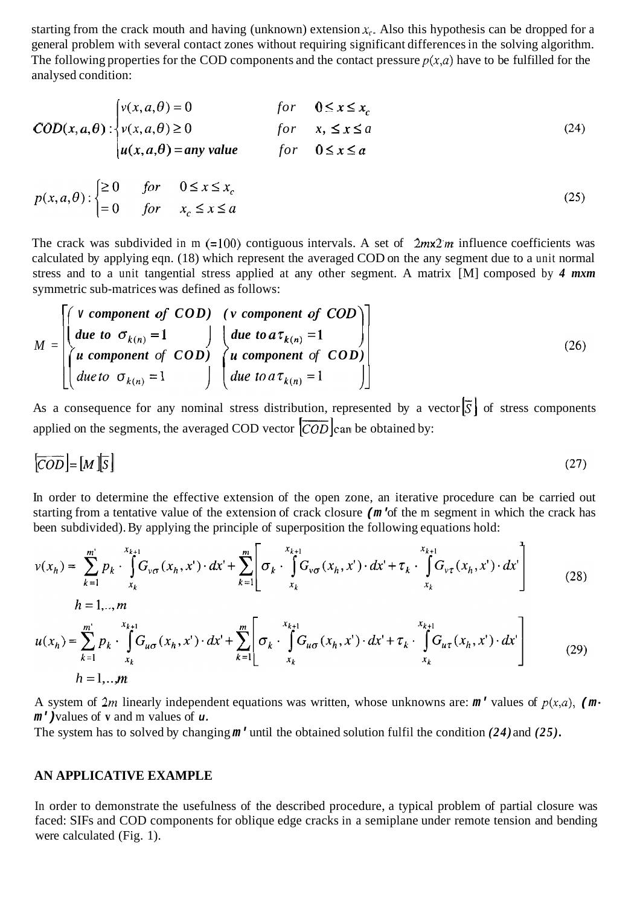starting from the crack mouth and having (unknown) extension  $x_c$ . Also this hypothesis can be dropped for a general problem with several contact zones without requiring significant differences in the solving algorithm. The following properties for the COD components and the contact pressure  $p(x,a)$  have to be fulfilled for the analysed condition:

$$
COD(x, a, \theta): \begin{cases} v(x, a, \theta) = 0 & \text{for} \quad 0 \le x \le x_c \\ v(x, a, \theta) \ge 0 & \text{for} \quad x, \le x \le a \\ u(x, a, \theta) = any \text{ value} & \text{for} \quad 0 \le x \le a \end{cases}
$$
(24)

$$
p(x, a, \theta) : \begin{cases} \ge 0 & \text{for} & 0 \le x \le x_c \\ = 0 & \text{for} & x_c \le x \le a \end{cases}
$$
 (25)

The crack was subdivided in m  $(=100)$  contiguous intervals. A set of  $2mx2m$  influence coefficients was calculated by applying eqn. (18) which represent the averaged COD on the any segment due to a unit normal stress and to a unit tangential stress applied at any other segment. A matrix [M] composed by *4 mxm*  symmetric sub-matrices was defined as follows:

$$
M = \begin{bmatrix} v & component & of & COD) & (v & component & of & COD) \\ due & to & \sigma_{k(n)} = 1 & \cdots & due & to & \tau_{k(n)} = 1 \\ u & component & of & COD) & u & component & of & COD) \\ due & to & \sigma_{k(n)} = 1 & \cdots & due & to & \tau_{k(n)} = 1 \end{bmatrix} \tag{26}
$$

As a consequence for any nominal stress distribution, represented by a vector  $|\overline{S}|$  of stress components applied on the segments, the averaged COD vector  $\overline{COD}$  can be obtained by:

$$
\left[\overline{ COD}\right] = \left[M \right] \left[\overline{S}\right] \tag{27}
$$

In order to determine the effective extension of the open zone, an iterative procedure can be carried out starting from a tentative value of the extension of crack closure  $(m<sup>r</sup>$ of the m segment in which the crack has been subdivided). By applying the principle of superposition the following equations hold:

$$
v(x_h) = \sum_{k=1}^{m'} p_k \cdot \int_{x_k}^{x_{k+1}} G_{\nu\sigma}(x_h, x') \cdot dx' + \sum_{k=1}^{m} \left[ \sigma_k \cdot \int_{x_k}^{x_{k+1}} G_{\nu\sigma}(x_h, x') \cdot dx' + \tau_k \cdot \int_{x_k}^{x_{k+1}} G_{\nu\tau}(x_h, x') \cdot dx' \right]
$$
(28)

$$
u(x_h) = \sum_{k=1}^{m'} p_k \cdot \int_{x_k}^{x_{k+1}} G_{u\sigma}(x_h, x') \cdot dx' + \sum_{k=1}^{m} \left[ \sigma_k \cdot \int_{x_k}^{x_{k+1}} G_{u\sigma}(x_h, x') \cdot dx' + \tau_k \cdot \int_{x_k}^{x_{k+1}} G_{u\tau}(x_h, x') \cdot dx' \right]
$$
(29)  

$$
h = 1, \dots, m
$$

A system of 2m linearly independent equations was written, whose unknowns are:  $\mathbf{m}^t$  values of  $p(x,a)$ ,  $(\mathbf{m}$ *m')* values of **v** and m values of *u.* 

The system has to solved by changing *m'* until the obtained solution fulfil the condition *(24)* and *(25).* 

## **AN APPLICATIVE EXAMPLE**

In order to demonstrate the usefulness of the described procedure, a typical problem of partial closure was faced: SIFs and COD components for oblique edge cracks in a semiplane under remote tension and bending were calculated (Fig. 1).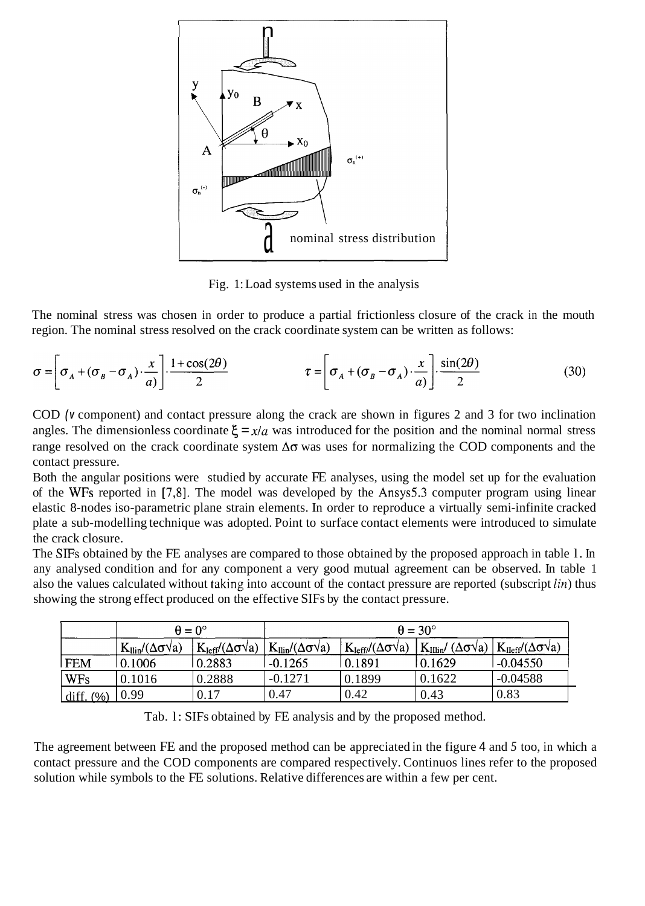

Fig. 1: Load systems used in the analysis

The nominal stress was chosen in order to produce a partial frictionless closure of the crack in the mouth region. The nominal stress resolved on the crack coordinate system can be written as follows:

$$
\sigma = \left[\sigma_A + (\sigma_B - \sigma_A) \cdot \frac{x}{a}\right] \cdot \frac{1 + \cos(2\theta)}{2} \qquad \tau = \left[\sigma_A + (\sigma_B - \sigma_A) \cdot \frac{x}{a}\right] \cdot \frac{\sin(2\theta)}{2} \tag{30}
$$

COD *(v* component) and contact pressure along the crack are shown in figures 2 and 3 for two inclination angles. The dimensionless coordinate  $\xi = x/a$  was introduced for the position and the nominal normal stress range resolved on the crack coordinate system  $\Delta\sigma$  was uses for normalizing the COD components and the contact pressure.

Both the angular positions were studied by accurate FE analyses, using the model set up for the evaluation of the WFs reported in [7,8]. The model was developed by the Ansys5.3 computer program using linear elastic 8-nodes iso-parametric plane strain elements. In order to reproduce a virtually semi-infinite cracked plate a sub-modelling technique was adopted. Point to surface contact elements were introduced to simulate the crack closure.

The SlFs obtained by the FE analyses are compared to those obtained by the proposed approach in table l. In any analysed condition and for any component a very good mutual agreement can be observed. In [table 1](#page--1-0) also the values calculated without taking into account of the contact pressure are reported (subscript *lin*) thus showing the strong effect produced on the effective SIFs by the contact pressure.

|             | $\theta = 0^{\circ}$                      |                                            | $\theta = 30^{\circ}$                     |                                            |                                                                                         |            |
|-------------|-------------------------------------------|--------------------------------------------|-------------------------------------------|--------------------------------------------|-----------------------------------------------------------------------------------------|------------|
|             | $K_{\text{lin}}/(\Delta \sigma \sqrt{a})$ | $K_{\text{left}}/(\Delta \sigma \sqrt{a})$ | $K_{\text{lin}}/(\Delta \sigma \sqrt{a})$ | $K_{\text{left}}/(\Delta \sigma \sqrt{a})$ | $ K_{\text{Iliin}}/(\Delta \sigma \sqrt{a})  K_{\text{Ileft}}/(\Delta \sigma \sqrt{a})$ |            |
| <b>FEM</b>  | 0.1006                                    | 0.2883                                     | $-0.1265$                                 | 0.1891                                     | $ 0.1629\rangle$                                                                        | $-0.04550$ |
| <b>WFs</b>  | 0.1016                                    | 0.2888                                     | $-0.1271$                                 | 0.1899                                     | 0.1622                                                                                  | $-0.04588$ |
| diff. $(%)$ | 0.99                                      | 0.17                                       | 0.47                                      | 0.42                                       | 0.43                                                                                    | 0.83       |

Tab. l: SIFs obtained by FE analysis and by the proposed method.

The agreement between FE and the proposed method can be appreciated in the [figure](#page--1-0) 4 and *5* too, in which a contact pressure and the COD components are compared respectively. Continuos lines refer to the proposed solution while symbols to the FE solutions. Relative differences are within a few per cent.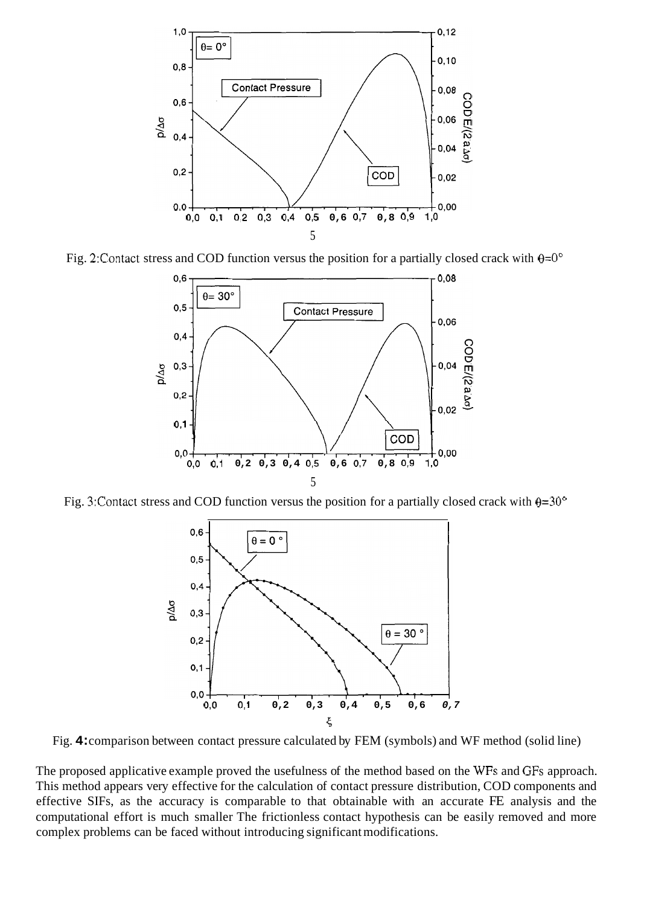

Fig. 2:Contact stress and COD function versus the position for a partially closed crack with  $\theta=0^{\circ}$ 



Fig. 3:Contact stress and COD function versus the position for a partially closed crack with *8=30°* 



Fig. 4: comparison between contact pressure calculated by FEM (symbols) and WF method (solid line)

The proposed applicative example proved the usefulness of the method based on the WFs and GFs approach. This method appears very effective for the calculation of contact pressure distribution, COD components and effective SIFs, as the accuracy is comparable to that obtainable with an accurate FE analysis and the computational effort is much smaller The frictionless contact hypothesis can be easily removed and more complex problems can be faced without introducing significant modifications.